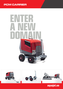# **PCM CARRIER**





aquajet.se